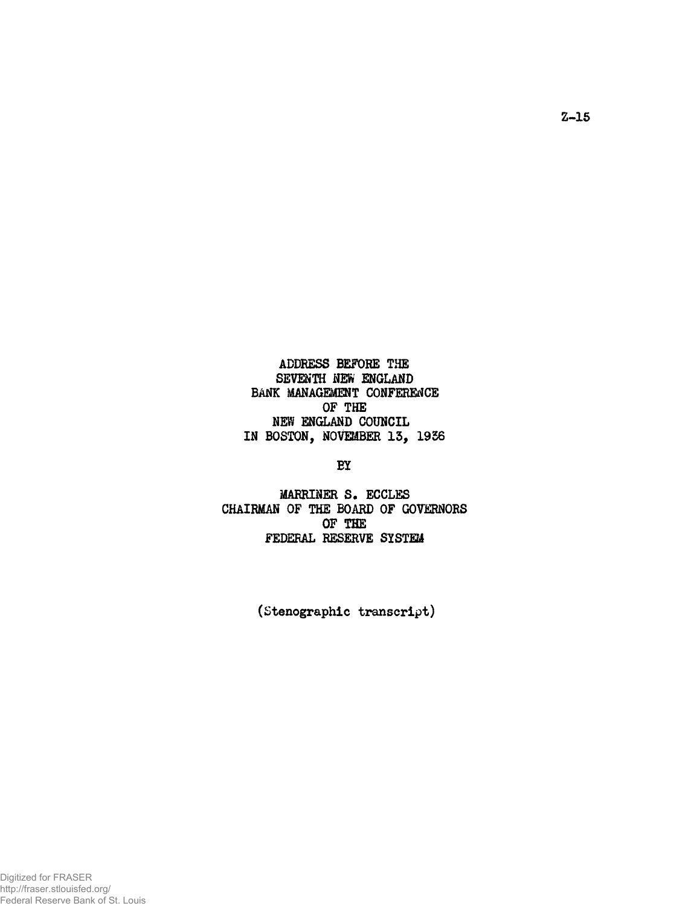**ADDRESS BEFORE THE SEVENTH NEW ENGLAND BANK MANAGEMENT CONFERENCE OF THE NEVI ENGLAND COUNCIL IN BOSTON, NOVEMBER 13, 1956**

**BY**

**MARRINER S. ECCLES CHAIRMAN OF THE BOARD OF GOVERNORS OF THE FEDERAL RESERVE SYSTEM**

**(Stenographic transcript)**

Z-15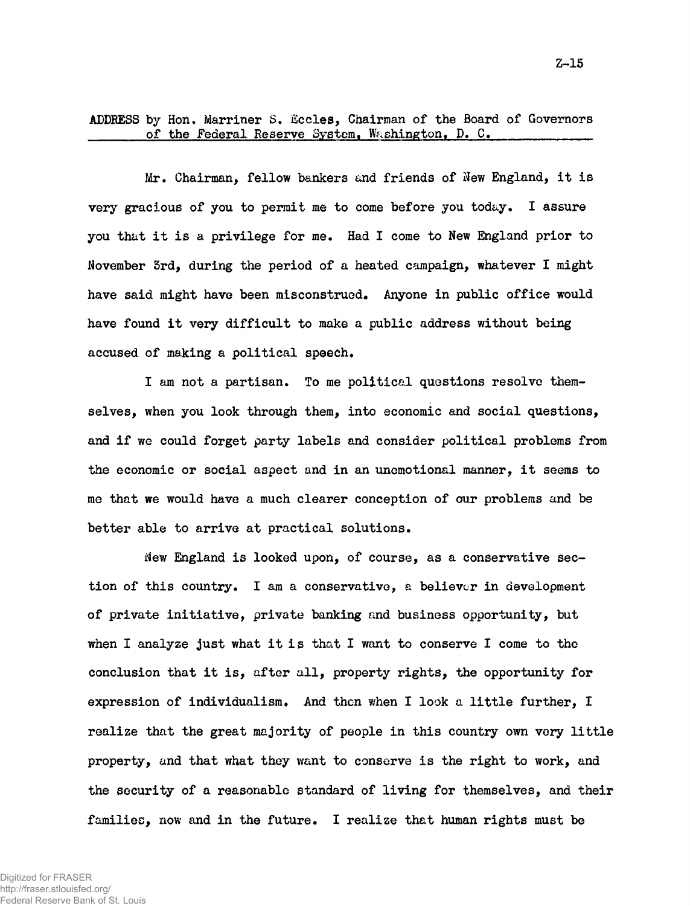**ADDRESS by Hon. Marriner S. Sccles, Chairman of the Board of Governors** of the Federal Reserve System, Washington, D. C.

**Mr. Chairman, fellow bankers and friends of New England, it is very gracious of you to permit me to come before you today. I assure you that it is a privilege for me. Had I come to New England prior to November 3rd, during the period of a heated campaign, whatever I might have said might have been misconstrued. Anyone in public office would have found it very difficult to make a public address without being accused of making a political speech.**

**I am not a partisan. To me political questions resolve themselves, when you look through them, into economic and social questions, and if we could forget party labels and consider political problems from the economic or social aspect and in an unemotional manner, it seems to me that we would have a much clearer conception of our problems and be better able to arrive at practical solutions.**

**New England is looked upon, of course, as a conservative section of this country. I am a conservative, a believer in development of private initiative, private banking and business opportunity, but when I analyze just what it is that I want to conserve I come to the conclusion that it is, after all, property rights, the opportunity for expression of individualism. And then when I look a little further, I realize that the great majority of people in this country own very little property, and that what they want to conserve is the right to work, and the security of a reasonable standard of living for themselves, and their families, now and in the future. I realize that human rights must be**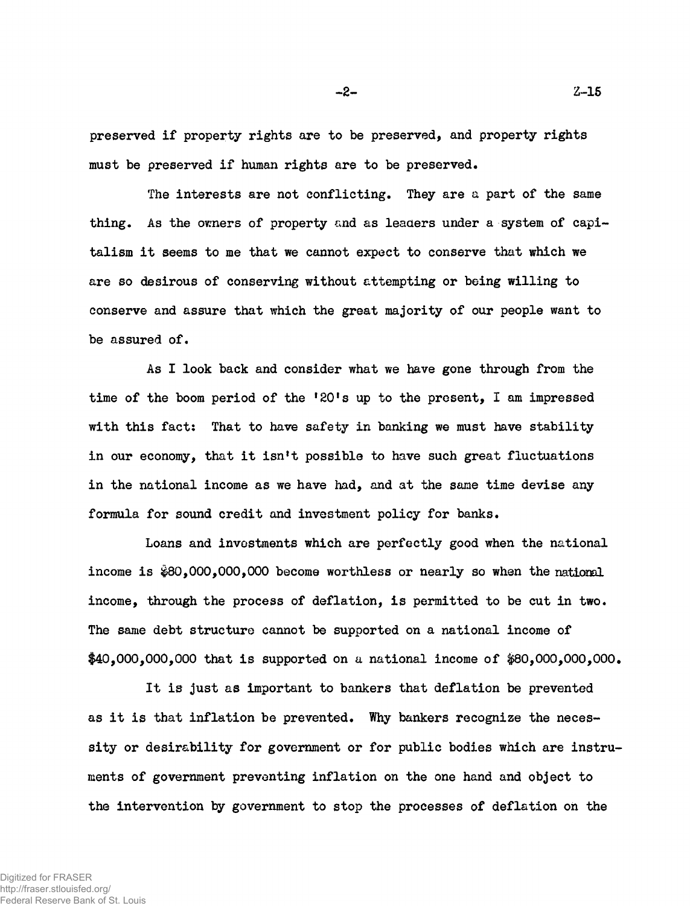**preserved if property rights are to be preserved, and property rights must be preserved if human rights are to be preserved.**

**The interests are not conflicting. They are a part of the same** thing. As the owners of property and as leaders under a system of capi**talism it seems to me that we cannot expect to conserve that which we are so desirous of conserving without attempting or being willing to conserve and assure that which the great majority of our people want to be assured of.**

**As I look back and consider what we have gone through from the time of the boom period of the '20's up to the present, I am impressed with this fact: That to have safety in banking we must have stability in our economy, that it isn't possible to have such great fluctuations in the national income as we have had, and at the same time devise any formula for sound credit and investment policy for banks.**

**Loans and investments which are perfectly good when the national** income is  $$80,000,000,000$  become worthless or nearly so when the national **income, through the process of deflation, is permitted to be cut in two. The same debt structure cannot be supported on a national income of \$40,000,000,000 that is supported on a national income of #80,000,000,000.**

**It is just as important to bankers that deflation be prevented as it is that inflation be prevented. Why bankers recognize the necessity or desirability for government or for public bodies which are instruments of government preventing inflation on the one hand and object to the intervention by government to stop the processes of deflation on the**

-2- Z-1S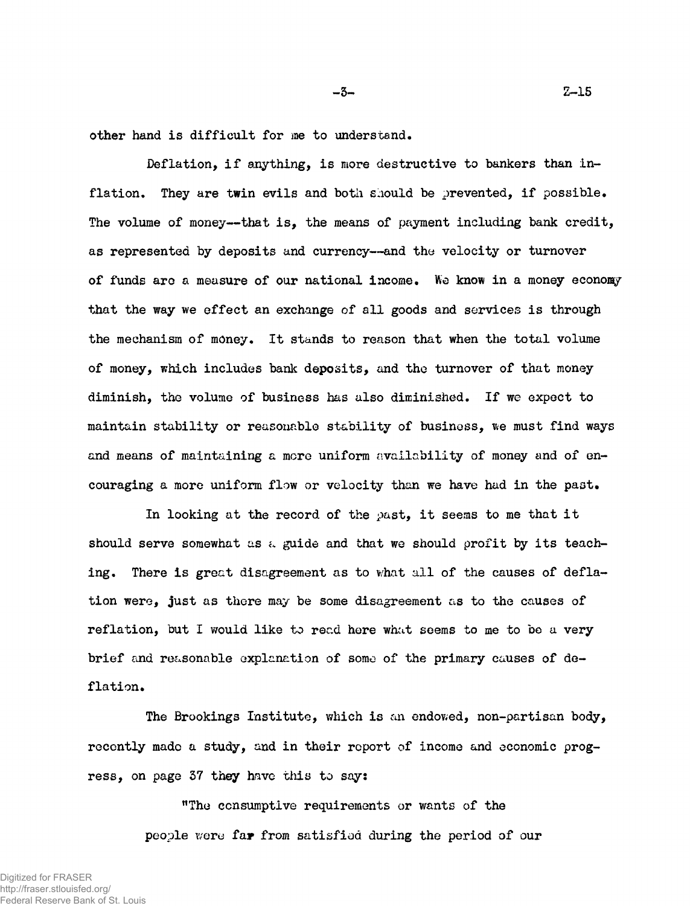**other hand is difficult for me to understand.**

**Deflation, if anything, is more destructive to bankers than inflation. They are twin evils and both should be prevented, if possible. The volume of money— that is, the means of payment including bank credit, as represented by deposits and currency— and the velocity or turnover of funds arc a measure of our national income. We know in a money economy that the way we effect an exchange of all goods and services is through the mechanism of money. It stands to reason that when the total volume of money, which includes bank deposits, and the turnover of that money diminish, the volume of business has also diminished. If we expect to maintain stability or reasonable stability of business, we must find ways and means of maintaining a more uniform availability of money and of encouraging a more uniform flow or velocity than we have had in the past.**

**In looking at the record of the past, it seems to me that it** should serve somewhat as a guide and that we should profit by its teach**ing. There is great disagreement as to what all of the causes of deflation were, just as there may be some disagreement as to the causes of reflation, but I would like to read here what seems to me to be a very brief and reasonable explanation of some of the primary causes of deflation.**

**The Brookings Institute, which is an endowed, non-partisan body, recently made a study, and in their report of income and economic progress, on page 37 they have this to say:**

> **"The consumptive requirements or wants of the people were far from satisfied during the period of our**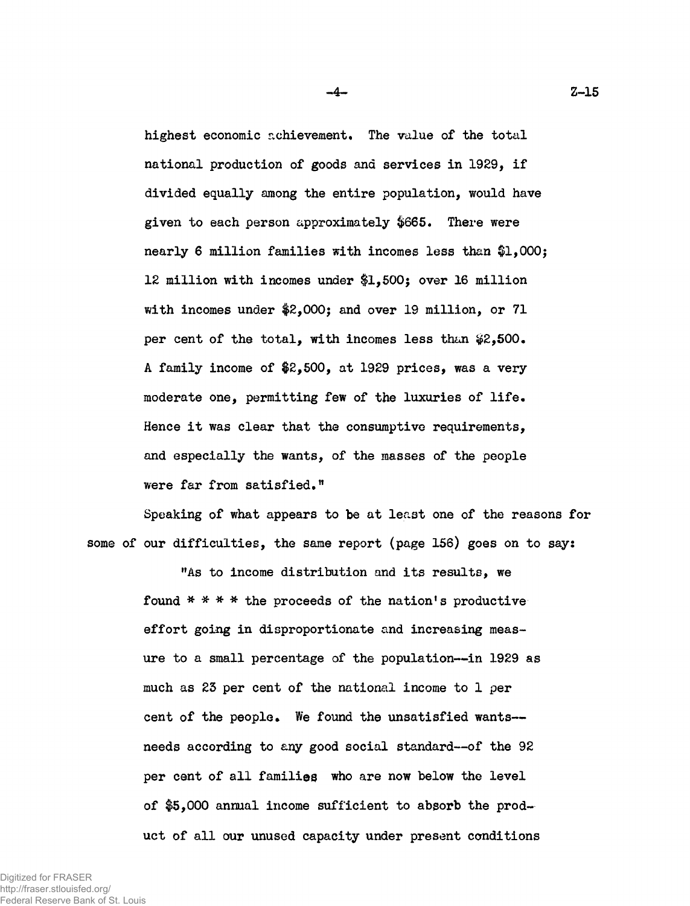**highest economic achievement. The value of the total national production of goods and services in 1929, if divided equally among the entire population, would have given to each person approximately \$665. There were nearly 6 million families with incomes less than \$1,000\$ 12 million with incomes under \$1,500; over 16 million** with incomes under  $2,000$ ; and over 19 million, or 71 **per cent of the total, with incomes less than #2,500. A family income of \$2,500, at 1929 prices, was a very moderate one, permitting few of the luxuries of life. Hence it was clear that the consumptive requirements, and especially the wants, of the masses of the people were far from satisfied."**

**Speaking of what appears to be at least one of the reasons for some of our difficulties, the same report (page 156) goes on to say:**

> **"As to income distribution and its results, we found \* \* \* \* the proceeds of the nation's productive effort going in disproportionate and increasing measure to a small percentage of the population— in 1929 as much as 23 per cent of the national income to 1 per cent of the people. We found the unsatisfied wants needs according to any good social standard— of the 92 per cent of all families who are now below the level of \$5,000 annual income sufficient to absorb the product of all our unused capacity under present conditions**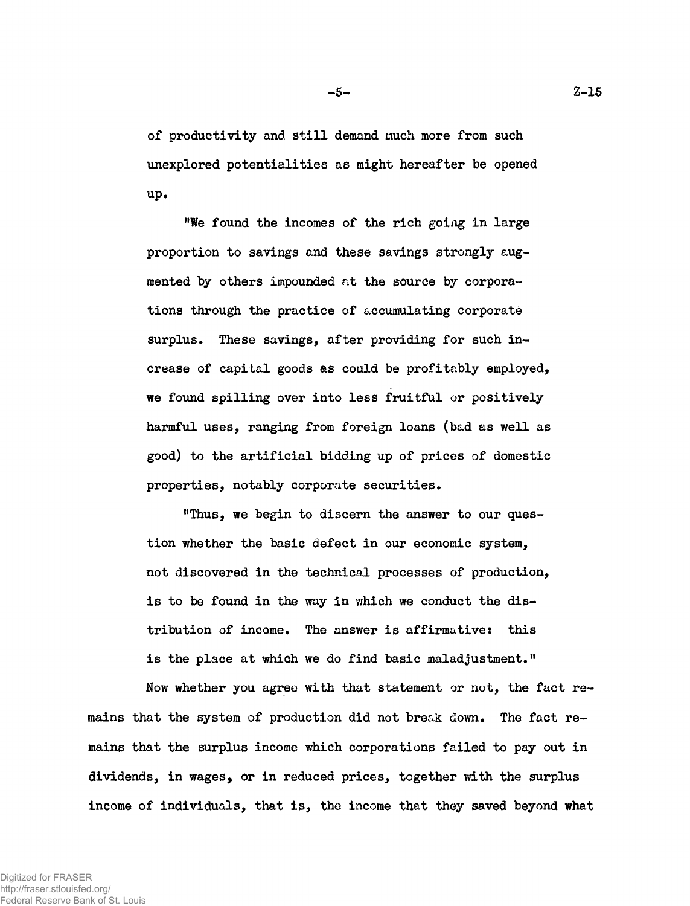**of productivity and still demand much more from such unexplored potentialities as might hereafter be opened up.**

**"We found the incomes of the rich going in large proportion to savings and these savings strongly augmented by others impounded at the source by corporations through the practice of accumulating corporate surplus. These savings, after providing for such increase of capital goods as could be profitably employed, we found spilling over into less fruitful or positively harmful uses, ranging from foreign loans (bad as well as good) to the artificial bidding up of prices of domestic properties, notably corporate securities.**

**"Thus, we begin to discern the answer to our question whether the basic defect in our economic system, not discovered in the technical processes of production, is to be found in the way in which we conduct the distribution of income. The answer is affirmative: this is the place at which we do find basic maladjustment."**

**Now whether you agree with that statement or not, the fact remains that the system of production did not break down. The fact remains that the surplus income which corporations failed to pay out in dividends, in wages, or in reduced prices, together with the surplus income of individuals, that is, the income that they saved beyond what**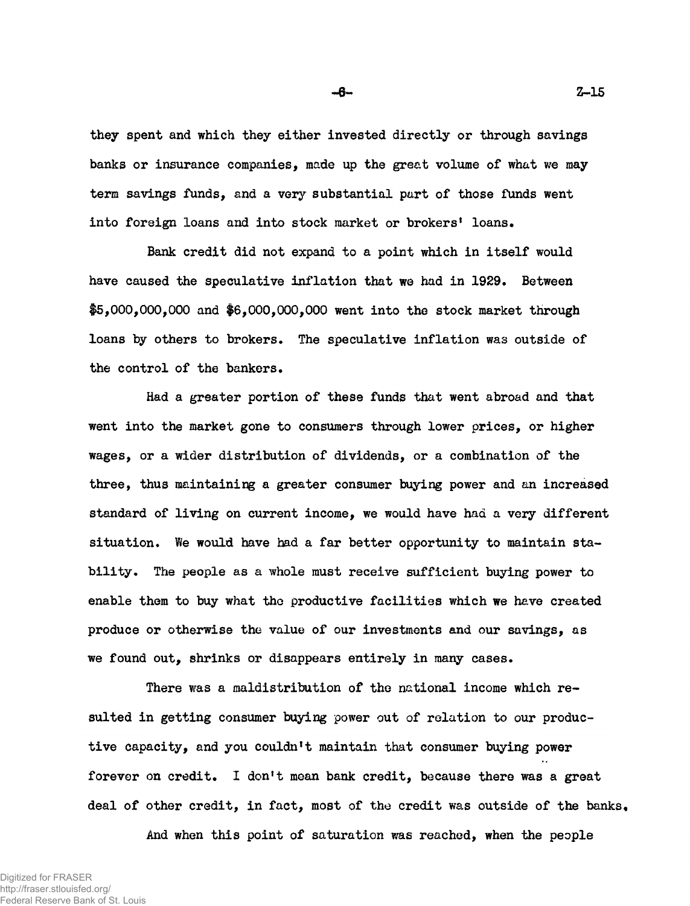**they spent and which they either invested directly or through savings banks or insurance companies, made up the great volume of what we may term savings funds, and a very substantial part of those funds went into foreign loans and into stock market or brokers' loans.**

**Bank credit did not expand to a point which in itself would have caused the speculative inflation that we had in 1929. Between #5,000,000,000 and \$6,000,000,000 went into the stock market through loans by others to brokers. The speculative inflation was outside of the control of the bankers.**

**Had a greater portion of these funds that went abroad and that went into the market gone to consumers through lower prices, or higher wages, or a wider distribution of dividends, or a combination of the three, thus maintaining a greater consumer buying power and an increased standard of living on current income, we would have had a very different** situation. We would have had a far better opportunity to maintain sta**bility. The people as a whole must receive sufficient buying power to enable them to buy what tho productive facilities which we have created produce or otherwise the value of our investments and our savings, as we found out, shrinks or disappears entirely in many cases.**

**There was a maldistribution of the national income which resulted in getting consumer buying power out of relation to our productive capacity, and you couldn't maintain that consumer buying power forever on credit. I don't mean bank credit, because there was a great deal of other credit, in fact, most of the credit was outside of the banks.**

**And when this point of saturation was reached, when the people**

Digitized for FRASER http://fraser.stlouisfed.org/ Federal Reserve Bank of St. Louis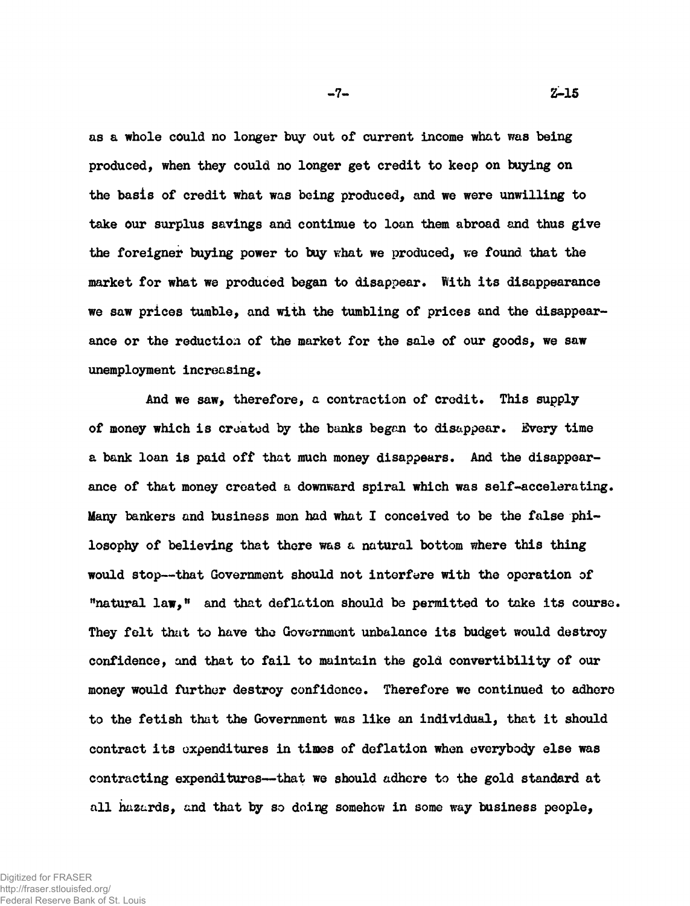**as a whole could no longer buy out of current income what was being produced, when they could no longer get credit to keep on buying on the basis of credit what was being produced, and we were unwilling to take our surplus savings and continue to loan them abroad and thus give** the foreigner buying power to buy what we produced, we found that the **market for what we produced began to disappear. With its disappearance we saw prices tumble, and with the tumbling of prices and the disappearance or the reduction of the market for the sale of our goods, we saw**

**unemployment increasing.**

**And we saw, therefore, a contraction of credit. This supply of money which is croatod by the banks began to disappear. Every time a bank loan is paid off that much money disappears. And the disappearance of that money created a downward spiral which was self-accelerating. Many bankers and business men had what I conceived to be the false philosophy of believing that there was a natural bottom where this thing would stop— that Government should not interfere with the operation of "natural law," and that deflation should be permitted to take its course. They felt that to have tho Government unbalance its budget would destroy confidence, and that to fail to maintain the gold convertibility of our money would further destroy confidence. Therefore we continued to adhero to the fetish that the Government was like an individual, that it should contract its expenditures in times of deflation when everybody else was contracting expenditures— that we should adhere to the gold standard at all hazards, and that by so doing somehow in some way business people,**

Digitized for FRASER http://fraser.stlouisfed.org/ Federal Reserve Bank of St. Louis -7- Z-15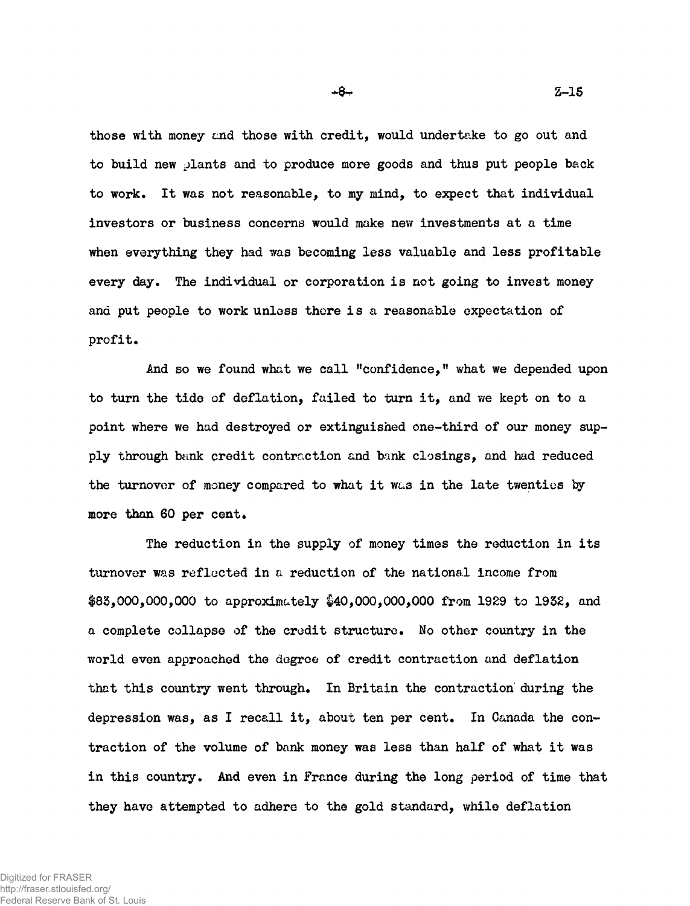**those with money and those with credit, would undertake to go out and to build new plants and to produce more goods and thus put people back to work. It was not reasonable, to my mind, to expect that individual investors or business concerns would make new investments at a time when everything they had was becoming less valuable and less profitable every day. The individual or corporation is not going to invest money and put people to work unless there is a reasonable expectation of profit.**

**And so we found what we call "confidence," what we depended upon** to turn the tide of deflation, failed to turn it, and we kept on to a **point where we had destroyed or extinguished one-third of our money supply through bank credit contraction and bank closings, and had reduced the turnover of money compared to what it wa3 in the late twenties try** more than 60 per cent.

**The reduction in the supply of money times the reduction in its turnover was reflected in a reduction of the national income from \$83,000,000,000 to approximately \$40,000,000,000 from 1929 to 1932, and a complete collapse of the credit structure. No other country in the world even approached the degree of credit contraction and deflation that this country went through. In Britain the contraction during the depression was, as I recall it, about ten per cent. In Canada the contraction of the volume of bank money was less than half of what it was in this country. And even in France during the long period of time that they have attempted to adhere to the gold standard, while deflation**

 $+8-$ 

Z-15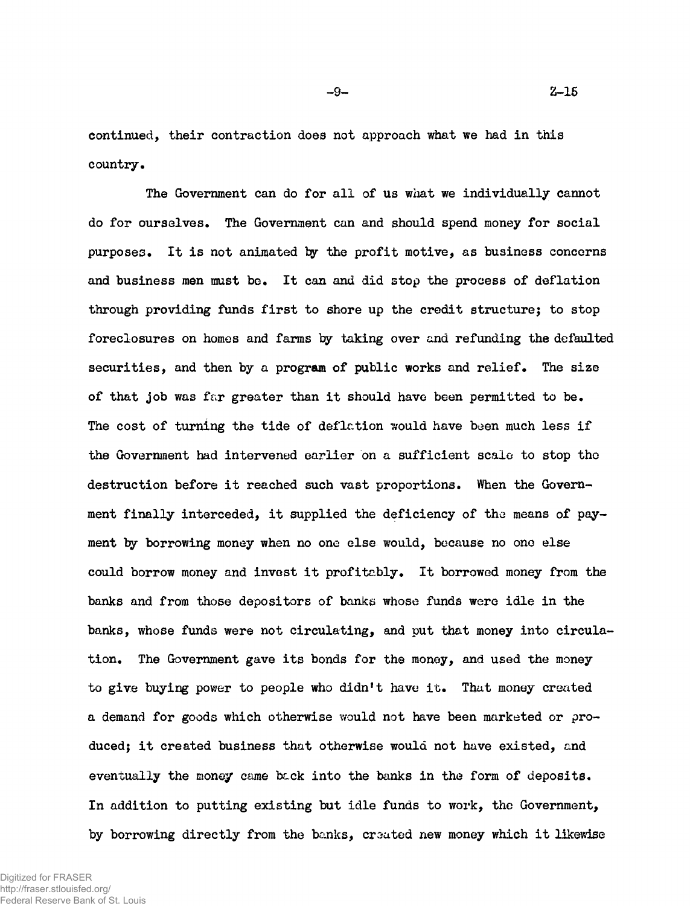-9- Z-15

**continued, their contraction does not approach what we had in this country.**

**The Government can do for all of us what we individually cannot do for ourselves. The Government can and should spend money for social** purposes. It is not animated by the profit motive, as business concerns **and business men must bo. It can and did stop the process of deflation through providing funds first to shore up the credit structure; to stop foreclosures on homes and farms by taking over and refunding the defaulted securities, and then by a program of public works and relief. The size of that job was far greater than it should have been permitted to be.** The cost of turning the tide of deflation would have been much less if **the Government had intervened earlier on a sufficient scalo to stop tho destruction before it reached such vast proportions. When the Government finally interceded, it supplied the deficiency of tho means of payment by borrowing money when no one else would, because no one else could borrow money and invest it profitably. It borrowed money from the banks and from those depositors of banks whose funds were idle in the banks, whose funds were not circulating, and put that money into circulation. The Government gave its bonds for the money, and used the money to give buying power to people who didn't have it. That money created a demand for goods which otherwise would not have been marketed or produced; it created business that otherwise would not have existed, and eventually the money came back into the banks in the form of deposits. In addition to putting existing but idle funds to work, the Government,** by borrowing directly from the banks, created new money which it likewise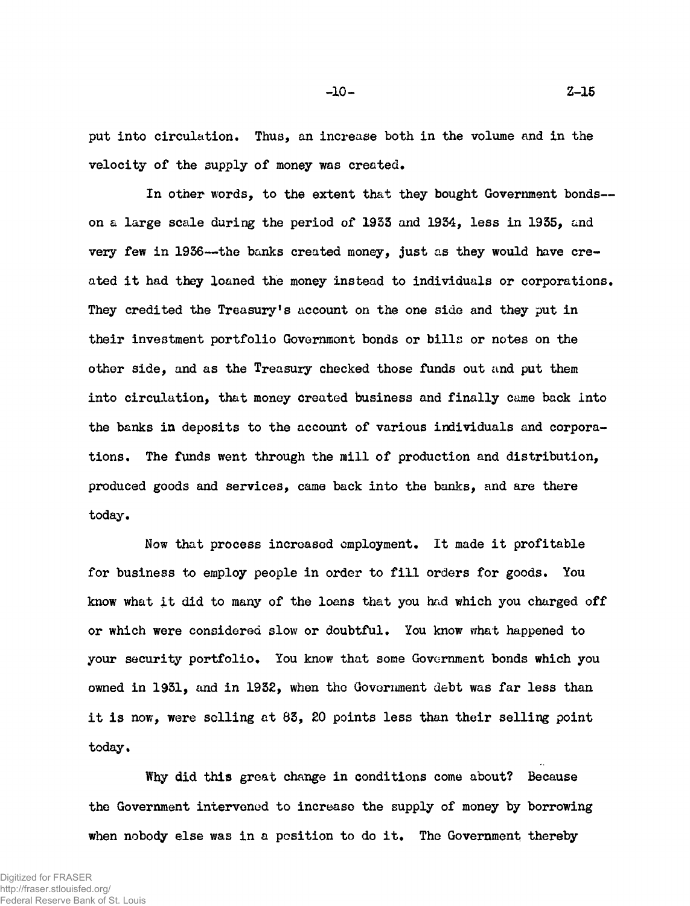**put into circulation. Thus, an increase both in the volume and in the velocity of the supply of money was created.**

**In other words, to the extent that they bought Government bonds on a large scale during the period of 1953 and 1934, less in 1935, and very few in 1956— the banks created money, just as they would have created it had they loaned the money instead to individuals or corporations. They credited the Treasury's account on the one side and they put in their investment portfolio Government bonds or bills or notes on the other side, and as the Treasury checked those funds out and put them into circulation, that money created business and finally came back into the banks in deposits to the account of various individuals and corporations. The funds went through the mill of production and distribution, produced goods and services, came back into the banks, and are there today.**

**Now that process increased employment. It made it profitable for business to employ people in order to fill orders for goods. You know what it did to many of the loans that you had which you charged off or which were considered slow or doubtful. You know what happened to your security portfolio. You know that some Government bonds which you owned in 1931, and in 1932, when the Government debt was far less than it is now, were selling at 83, 20 points less than their selling point today.**

**Why did this great change in conditions come about? Because the Government intervened to increase the supply of money by borrowing when nobody else was in a position to do it. The Government thereby**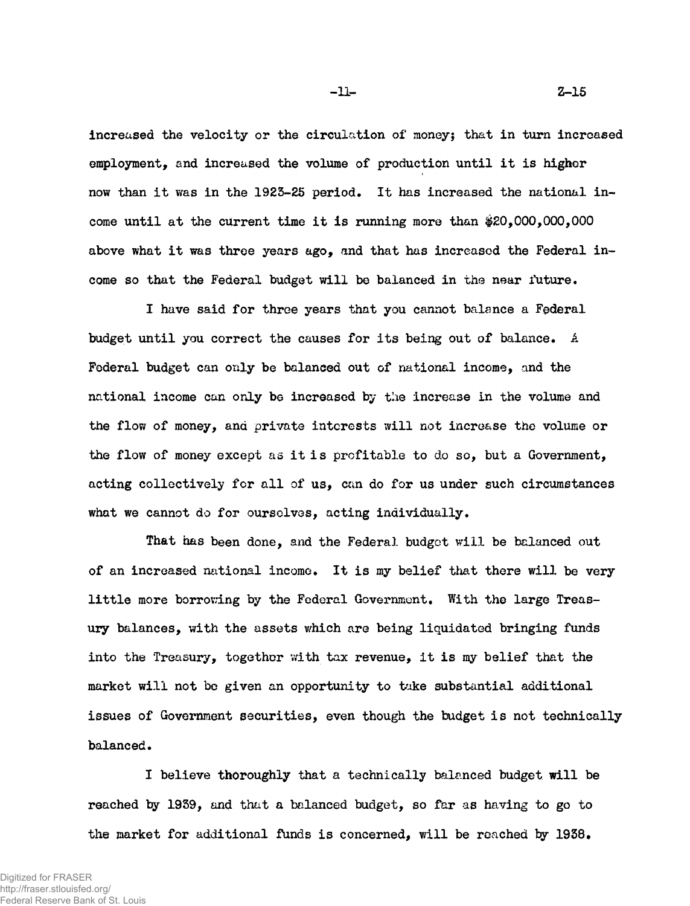**Increased the velocity or the circulation of money; that in turn incroased employment, and increased the volume of production until it is higher now than it was in the 1923-25 period. It has increased the national income until at the current time it is running more than #20,000,000,000 above what it was three years ago, and that has increased the Federal income so that the Federal budget will be balanced in the near future.**

**I have said for three years that you cannot balance a Federal budget until you correct the causes for its being out of balance. A Federal budget can only be balanced out of national income, and the national income can only be increased by the increase in the volume and the flow of money, and private interests will not increase the volume or the flow of money except as it is profitable to do so, but a Government, acting collectively for all of us, can do for us under such circumstances what we cannot do for ourselves, acting individually.**

**That has been done, and the Federal budget will be balanced out of an increased national income. It is my belief that there will be very little more borrowing by the Federal Government. With the large Treasury balances, with the assets which are being liquidated bringing funds into the Treasury, together with tax revenue, it is my belief that the market will not bo given an opportunity to take substantial additional issues of Government securities, even though the budget is not technically balanced.**

**I believe thoroughly that a technically balanced budget will be reached by 1939, and that a balanced budget, so far as having to go to the market for additional funds is concerned, will be reached by 1938.**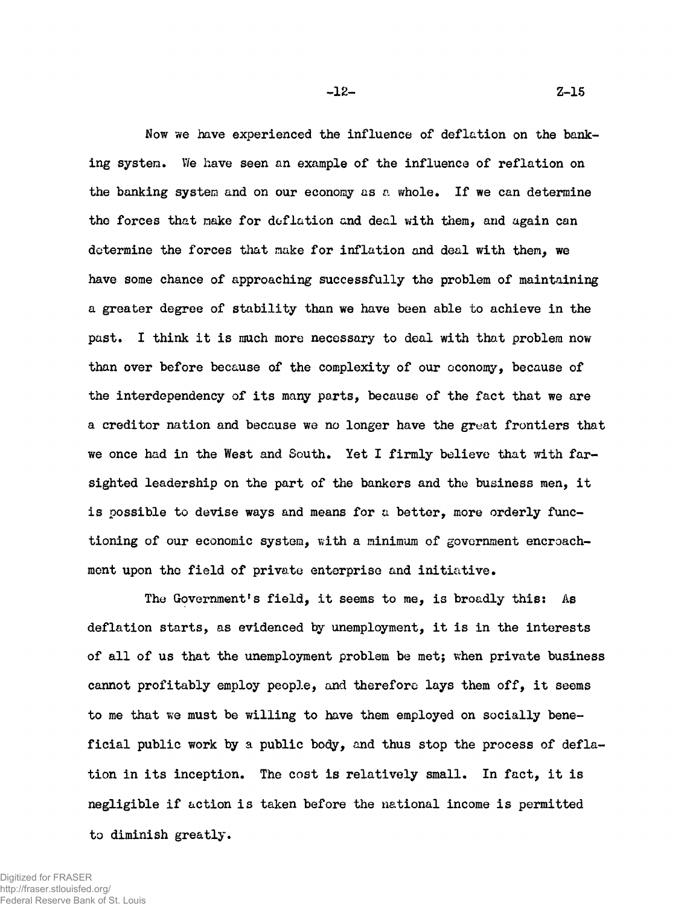**Now we have experienced the influence of deflation on the banking system. We have seen an example of the influence of reflation on the banking system and on our economy as a whole. If we can determine the forces that make for deflation and deal with them, and again can determine the forces that make for inflation and deal with them, we have some chance of approaching successfully the problem of maintaining a greater degree of stability than we have been able to achieve in the past. I think it is much more necessary to deal with that problem now than over before because of the complexity of our economy, because of the interdependency of its many parts, because of the fact that we are a creditor nation and because we no longer have the great frontiers that we once had in the West and South. Yet I firmly believe that with farsighted leadership on the part of the bankers and the business men, it is possible to devise ways and means for a better, more orderly functioning of our economic system, with a minimum of government encroachment upon the field of private enterprise and initiative.**

**The Government's field, it seems to me, is broadly this: As deflation starts, as evidenced by unemployment, it is in the interests of all of us that the unemployment problem be met; when private business cannot profitably employ people, and therefore lays them off, it seems to me that we must be willing to have them employed on socially beneficial public work by a public body, and thus stop the process of deflation in its inception. The cost is relatively small. In fact, it is negligible if action is taken before the national income is permitted to diminish greatly.**

-12- Z-15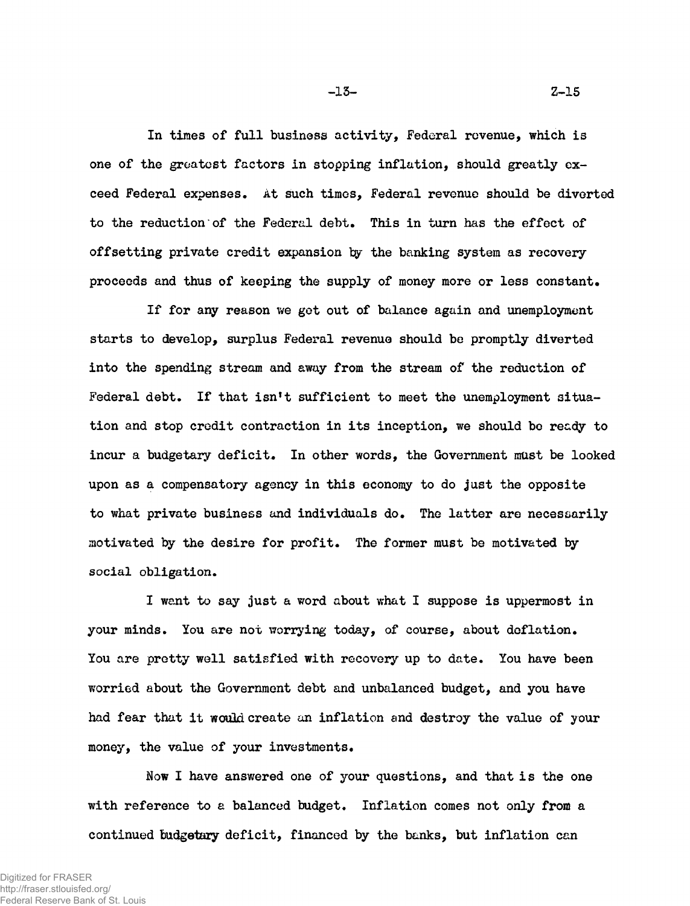**In times of full business activity, Federal revenue, which is one of the greatest factors in stopping inflation, should greatly exceed Federal expenses. At such times, Federal revenue should be diverted to the reduction of the Federal debt. This in turn has the effect of** offsetting private credit expansion by the banking system as recovery **proceeds and thus of keeping the supply of money more or less constant.**

**If for any reason we got out of balance again and unemployment starts to develop, surplus Federal revenue should be promptly diverted into the spending stream and away from the stream of the reduction of Federal debt. If that isn't sufficient to meet the unemployment situation and stop credit contraction in its inception, we should bo ready to incur a budgetary deficit. In other words, the Government must be looked upon as a compensatory agency in this economy to do just the opposite to what private business and individuals do. The latter are necessarily motivated by the desire for profit. The former must be motivated by social obligation.**

**I want to say just a word about what I suppose is uppermost in your minds. You are not worrying today, of course, about deflation. You are pretty well satisfied with recovery up to date. You have been worried about the Government debt and unbalanced budget, and you have had fear that it would create an inflation and destroy the value of your money, the value of your investments.**

**Now I have answered one of your questions, and that is the one with reference to a balanced budget. Inflation comes not only from a continued budgetary deficit, financed by the banks, but inflation can**

-13- Z-15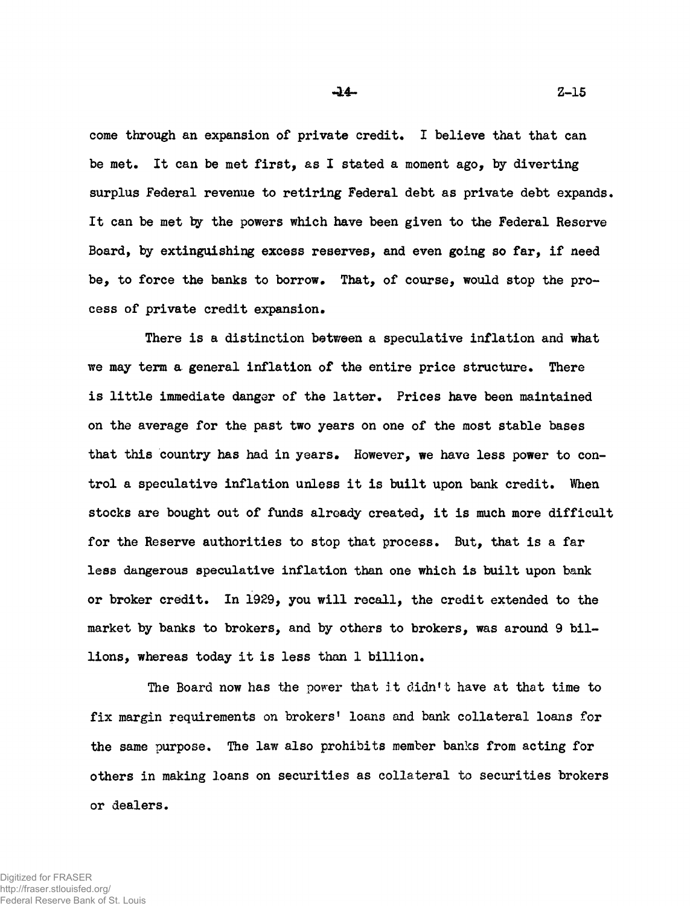**come through an expansion of private credit. I believe that that can be met. It can be met first, as I stated a moment ago, by diverting surplus Federal revenue to retiring Federal debt as private debt expands.** It can be met by the powers which have been given to the Federal Reserve **Board, by extinguishing excess reserves, and even going so far, if need be, to force the banks to borrow. That, of course, would stop the process of private credit expansion.**

**There is a distinction between a speculative inflation and what we may term a general inflation of the entire price structure. There is little immediate danger of the latter. Prices have been maintained on the average for the past two years on one of the most stable bases that this country has had in years. However, we have less power to control a speculative inflation unless it is built upon bank credit. When stocks are bought out of funds already created, it is much more difficult for the Reserve authorities to stop that process. But, that is a far less dangerous speculative inflation than one which is built upon bank or broker credit. In 1929, you will recall, the credit extended to the market by banks to brokers, and by others to brokers, was around 9 billions, whereas today it is less than 1 billion.**

**The Board now has the porer that it didn't have at that time to fix margin requirements on brokers' loans and bank collateral loans for the same purpose. The law also prohibits member banks from acting for others in making loans on securities as collateral to securities brokers or dealers.**

 $-14 2-15$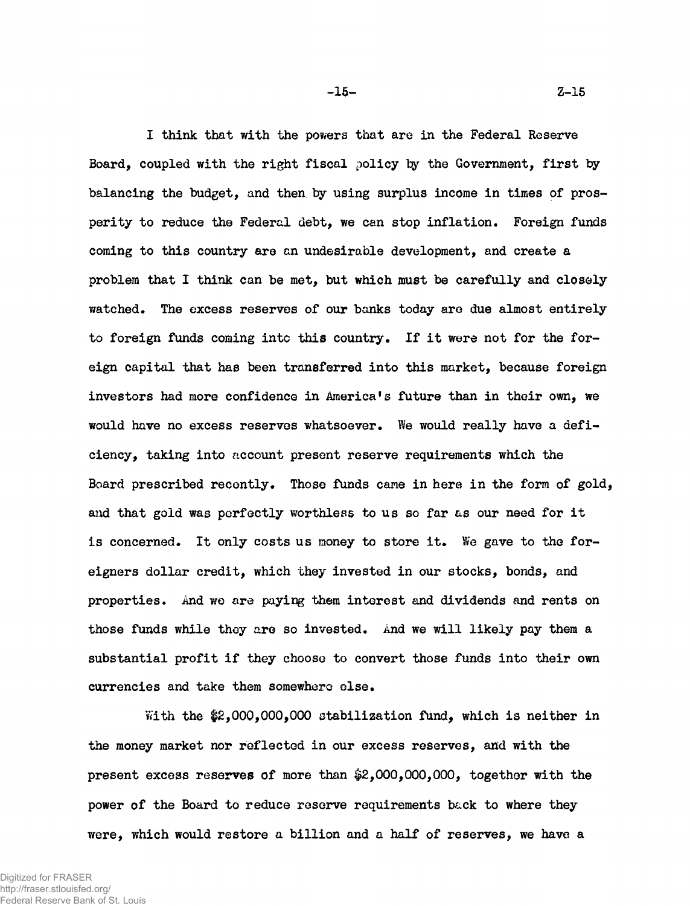**I think that with the powers that are in the Federal Reserve** Board, coupled with the right fiscal policy by the Government, first by **balancing the budget, and then by using surplus income in times of prosperity to reduce the Federal debt, we can stop inflation. Foreign funds coming to this country are an undesirable development, and create a problem that I think can be met, but which must be carefully and closely watched. The excess reserves of our banks today arc due almost entirely** to foreign funds coming into this country. If it were not for the for**eign capital that has been transferred into this market, because foreign investors had more confidence in America's future than in their own, we would have no excess reserves whatsoever. We would really have a deficiency, taking into account present reserve requirements which the Board prescribed recently. Those funds came in here in the form of gold, and that gold was perfectly worthless to us so far as our need for it is concerned. It only costs us money to store it. We gave to the foreigners dollar credit, which they invested in our stocks, bonds, and properties. And we are paying them interest and dividends and rents on those funds while they are so invested. And we will likely pay them a substantial profit if they choose to convert those funds into their own currencies and take them somewhere else.**

**With the #2,000,000,000 stabilization fund, which is neither in the money market nor reflected in our excess reserves, and with the present excess reserves of more than #2,000,000,000, together with the power of the Board to reduce reserve requirements back to where they were, which would restore a billion and a half of reserves, we have a**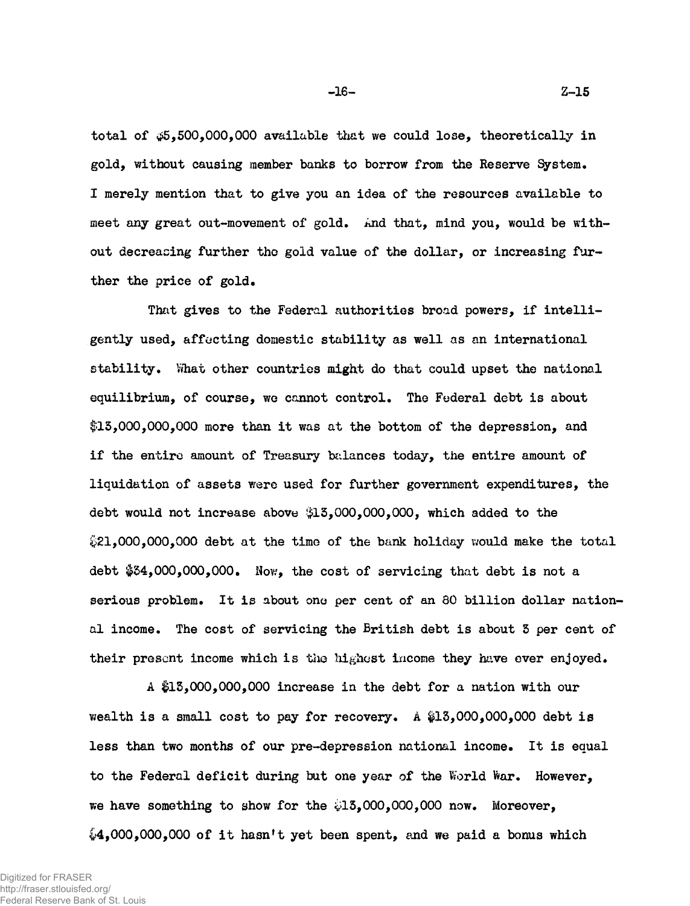**total of <¿5,500,000,000 available that we could lose, theoretically in gold, without causing member banks to borrow from the Reserve System. I merely mention that to give you an idea of the resources available to** meet any great out-movement of gold. And that, mind you, would be with**out decreasing further tho gold value of the dollar, or increasing further the price of gold.**

**That gives to the Federal authorities broad powers, if intelligently used, affecting domestic stability as well as an international** stability. What other countries might do that could upset the national **equilibrium, of course, we cannot control. The Federal debt is about \$15,000,000,000 more than it was at the bottom of the depression, and if the entire amount of Treasury bidances today, the entire amount of liquidation of assets were used for further government expenditures, the debt would not increase above \$15,000,000,000, which added to the ¡¿•21,000,000,000 debt at the time of the bank holiday would make the total debt #54,000,000,000. Nov.', the cost of servicing that debt is not a serious problem. It is about one per cent of an 80 billion dollar national income. The cost of servicing the British debt is about 5 per cent of their present income which is the highest income they have ever enjoyed.**

**A #15,000,000,000 increase in the debt for a nation with our wealth is a small cost to pay for recovery. A #15,000,000,000 debt is less than two months of our pre-depression national income. It is equal to the Federal deficit during but one year of the World War. However, we have something to show for the £15,000,000,000 now. Moreover, £>4,000,000,000 of it hasn't yet been spent, and we paid a bonus which**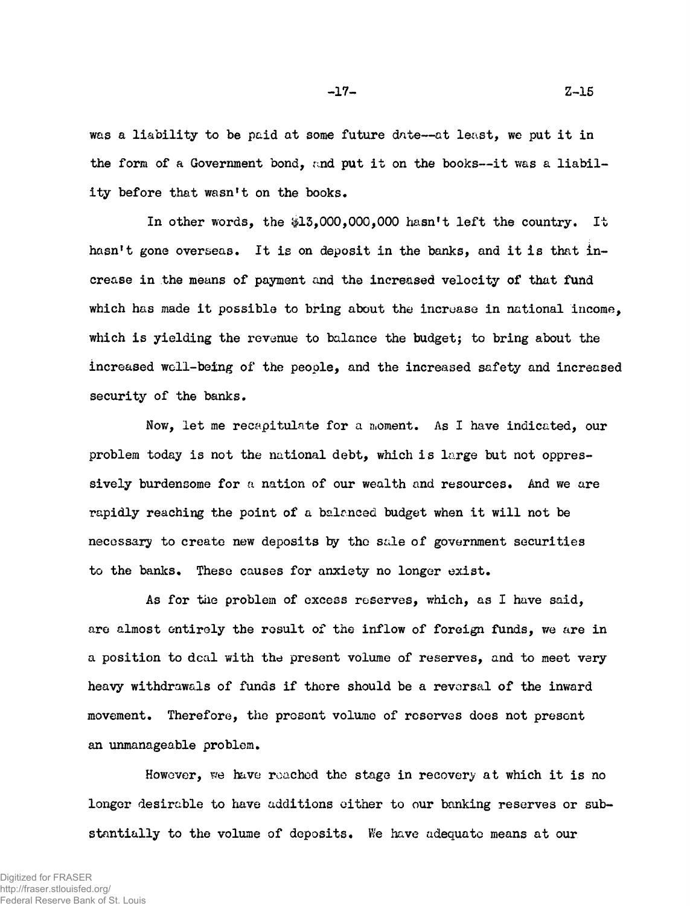**was a liability to be paid at some future date— at least, we put it in the form of a Government bond, and put it on the books— it was a liability before that wasn't on the books.**

**In other words, the \$15,000,000,000 hasn't left the country. It hasn't gone overseas. It is on deposit in the banks, and it is that increase in the means of payment and the increased velocity of that fund which has made it possible to bring about the increase in national income, which is yielding the revenue to balance the budget; to bring about the increased well-being of the people, and the increased safety and increased security of the banks.**

Now, let me recapitulate for a moment. As I have indicated, our **problem today is not the national debt, which is large but not oppressively burdensome for a nation of our wealth and resources. And we are rapidly reaching the point of a balmced budget when it will not be necessary to create new deposits by the sale of government securities to the banks. These causes for anxiety no longer exist.**

**As for tile problem of excess reserves, which, as I have said, are almost entirely the result of the inflow of foreign funds, we are in a position to deal with the present volume of reserves, and to meet very heavy withdrawals of funds if there should be a reversal of the inward movement. Therefore, the present volume of reserves does not present an unmanageable problem.**

**However, we have roached the stage in recovery at which it is no longer desirable to have additions either to our banking reserves or substantially to the volume of deposits. We have adequate means at our**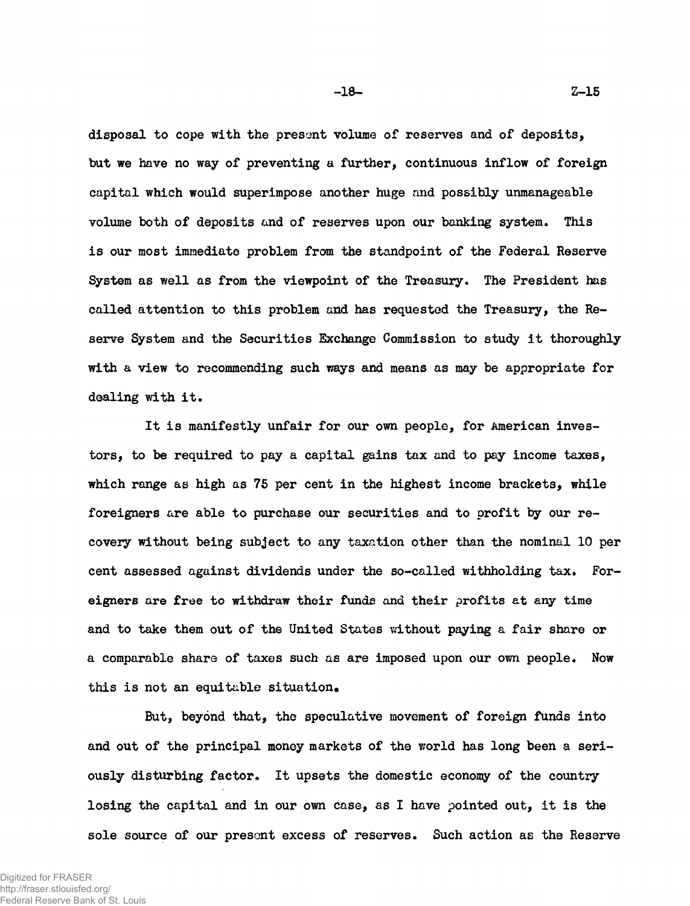**disposal to cope with the present volume of reserves and of deposits, but we have no way of preventing a further, continuous inflow of foreign capital which would superimpose another huge and possibly unmanageable volume both of deposits and of reserves upon our banking system. This is our most immediate problem from the standpoint of the Federal Reserve System as well as from the viewpoint of the Treasury. The President has called attention to this problem and has requested the Treasury, the Reserve System and the Securities Exchange Commission to study it thoroughly with a view to recommending such ways and means as may be appropriate for dealing with it.**

**It is manifestly unfair for our own people, for American investors, to be required to pay a capital gains tax and to pay income taxes, which range as high as 75 per cent in the highest income brackets, while foreigners are able to purchase our securities and to profit by our recovery without being subject to any taxation other than the nominal 10 per cent assessed against dividends under the so-called withholding tax. Foreigners are free to withdraw their funds and their profits at any time and to take them out of the United States without paying a fair share or a comparable share of taxes such as are imposed upon our own people. Now this is not an equitable situation.**

**But, beyond that, the speculative movement of foreign funds into and out of the principal money markets of the world has long been a seriously disturbing factor. It upsets the domestic economy of the country losing the capital and in our own case, as I have pointed out, it is the sole source of our present excess of reserves. Such action as the Reserve**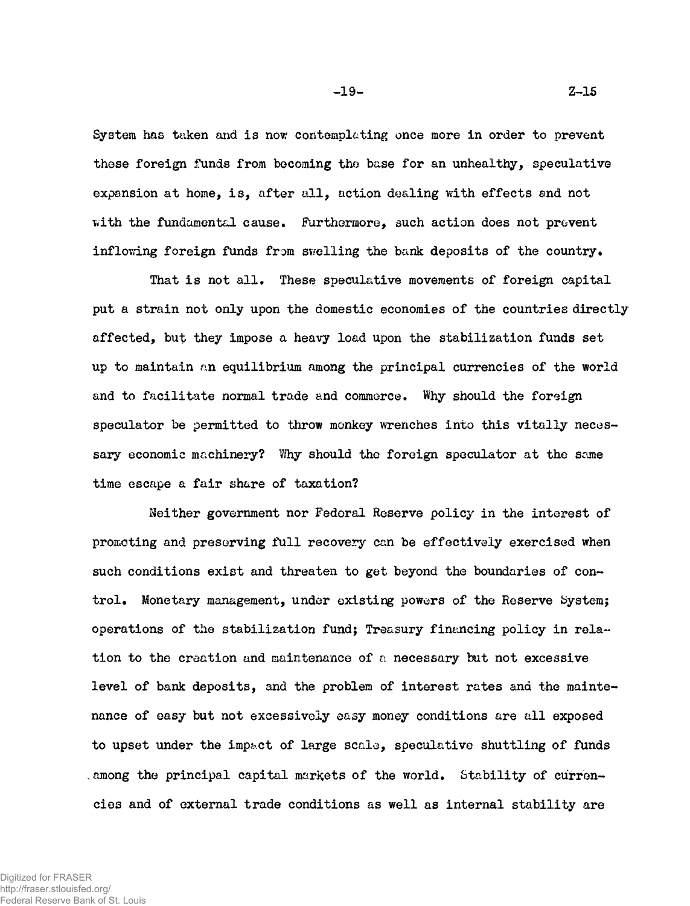System has taken and is now contemplating once more in order to prevent **these foreign funds from becoming the base for an unhealthy, speculative expansion at home, is, after all, action dealing with effects and not vvith the fundamental cause. Furthermore, such action does not prevent inflowing foreign funds from swelling the bank deposits of the country.**

**That is not all. These speculative movements of foreign capital put a strain not only upon the domestic economies of the countries directly affected, but they impose a heavy load upon the stabilization funds set up to maintain an equilibrium among the principal currencies of the world and to facilitate normal trade and commerce. Why should the foreign speculator be permitted to throw monkey wrenches into this vitally necessary economic machinery? Why should the foreign speculator at the some time escape a fair share of taxation?**

**Neither government nor Federal Reserve policy in the interest of promoting and preserving full recovery can be effectively exercised when such conditions exist and threaten to get beyond the boundaries of control. Monetary management, under existing powers of the Reserve System; operations of the stabilization fund; Treasury financing policy in rela~ tion to the creation and maintenance of a necessary but not excessive level of bank deposits, and the problem of interest rates and the maintenance of easy but not excessively easy money conditions are all exposed to upset under the impact of large scale, speculative shuttling of funds .among the principal capital markets of the world. Stability of currencies and of external trade conditions as well as internal stability are**

-19- Z-15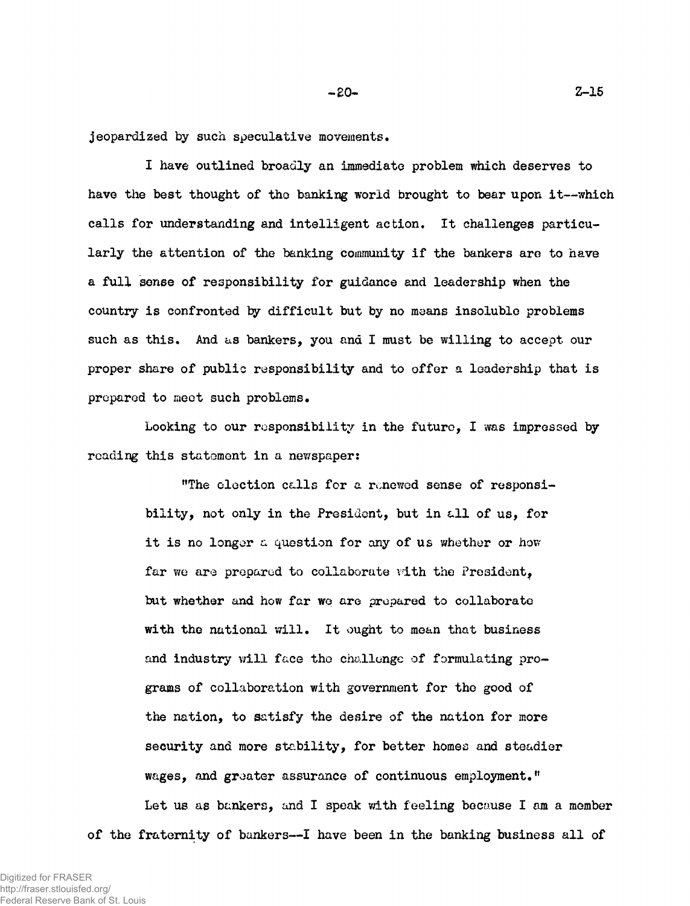**jeopardized by such speculative movements.**

**I have outlined broadly an immediate problem which deserves to have the best thought of tho banking world brought to bear upon it— which calls for understanding and intelligent action. It challenges particularly the attention of the banking community if the bankers are to have a full sense of responsibility for guidance and leadership when the country is confronted by difficult but by no means insoluble problems such as this. And as bankers, you and I must be willing to accept our proper share of public responsibility and to offer a leadership that is prepared to meet such problems.**

**Looking to our responsibility in the future, I was impressed by reading this statement in a newspaper:**

**"The election calls for a renewed sense of responsibility, not only in the President, but in £.11 of us, for it is no longer a question for any of us whether or how far we are prepared to collaborate vdth the President, but whether and how far we are prepared to collaborate with the national will. It ought to mean that business** and industry will face the challenge of formulating pro**grams of collaboration with government for tho good of the nation, to satisfy the desire of the nation for more security and more stability, for better homes and steadier wages, and greater assurance of continuous employment." Let us as bankers, and I speak with feeling because I am a member of the fraternity of bankers— I have been in the banking business all of**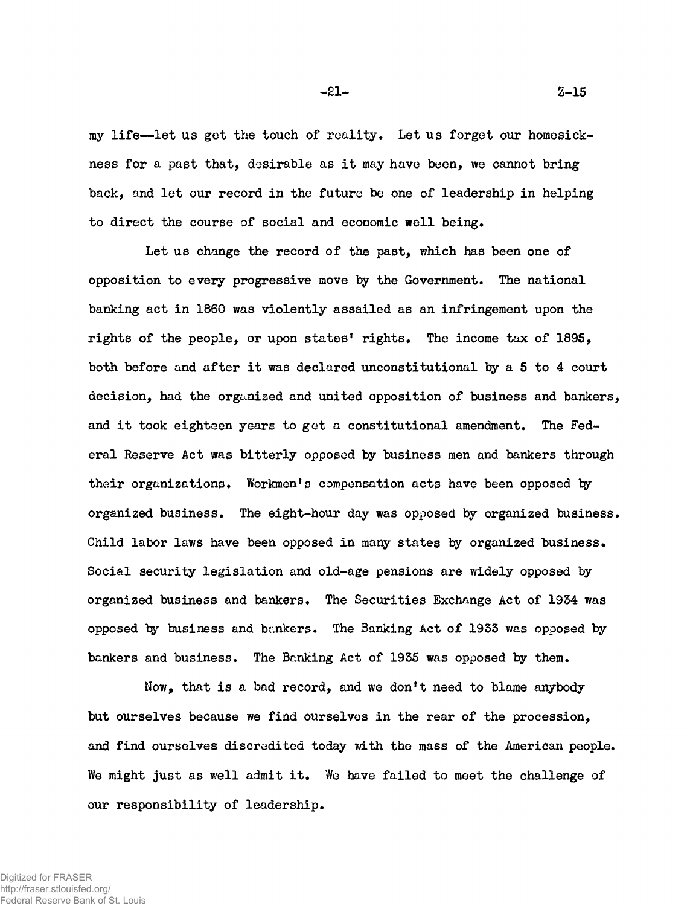**my life— let us get the touch of reality. Let us forget our homesickness for a past that, desirable as it may have been, we cannot bring back, and let our record in the future be one of leadership in helping to direct the course of social and economic well being.**

**Let us change the record of the past, which has been one of opposition to every progressive move by the Government. The national banking act in 1860 was violently assailed as an infringement upon the rights of the people, or upon states' rights. The income tax of 189S, both before and after it was declared unconstitutional by a 5 to 4 court decision, had the organised and united opposition of business and bankers, and it took eighteen years to get a constitutional amendment. The Federal Reserve Act was bitterly opposed by business men and bankers through** their organizations. Workmen's compensation acts have been opposed by **organized business. The eight-hour day was opposed by organized business. Child labor laws have been opposed in many states by organized business. Social security legislation and old-age pensions are widely opposed by organized business and bankers. The Securities Exchange Act of 19S4 was opposed by business and bankers. The Banking Act of 1933 was opposed by bankers and business. The Banking Act of 1935 was opposed by them.**

**Now, that is a bad record, and we don't need to blame anybody but ourselves because we find ourselves in the rear of the procession, and find ourselves discredited today with the mass of the American people. We might just as well admit it. We have failed to meet the challenge of our responsibility of leadership.**

 $-21 2-15$